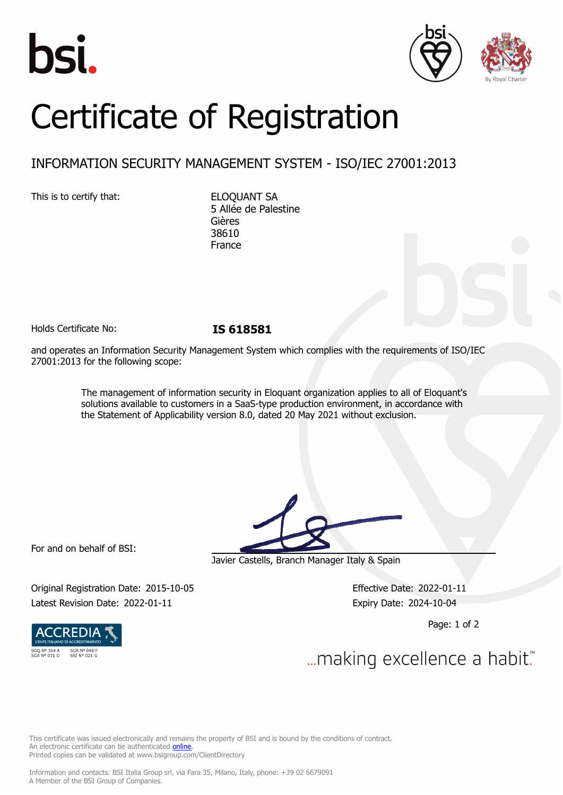





# Certificate of Registration

## INFORMATION SECURITY MANAGEMENT SYSTEM - ISO/IEC 27001:2013

This is to certify that: ELOQUANT SA

5 Allée de Palestine Gières 38610 France

Holds Certificate No: **IS 618581**

and operates an Information Security Management System which complies with the requirements of ISO/IEC 27001:2013 for the following scope:

> The management of information security in Eloquant organization applies to all of Eloquant's solutions available to customers in a SaaS-type production environment, in accordance with the Statement of Applicability version 8.0, dated 20 May 2021 without exclusion.

For and on behalf of BSI:

Javier Castells, Branch Manager Italy & Spain

Original Registration Date: 2015-10-05 Effective Date: 2022-01-11 Latest Revision Date: 2022-01-11 Expiry Date: 2024-10-04

Page: 1 of 2



... making excellence a habit.

This certificate was issued electronically and remains the property of BSI and is bound by the conditions of contract. An electronic certificate can be authenticated **[online](https://pgplus.bsigroup.com/CertificateValidation/CertificateValidator.aspx?CertificateNumber=IS 618581&ReIssueDate=11/01/2022&Template=cemea_en)** Printed copies can be validated at www.bsigroup.com/ClientDirectory

Information and contacts: BSI Italia Group srl, via Fara 35, Milano, Italy, phone: +39 02 6679091 A Member of the BSI Group of Companies.